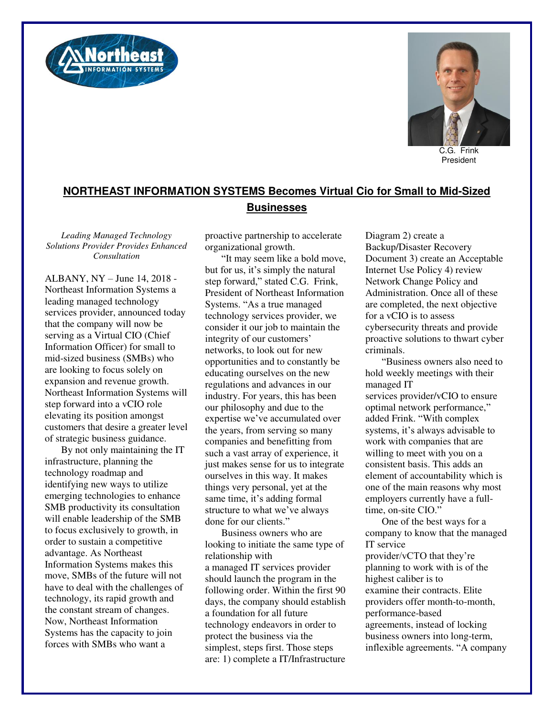



C.G. Frink President

## **NORTHEAST INFORMATION SYSTEMS Becomes Virtual Cio for Small to Mid-Sized Businesses**

*Leading Managed Technology Solutions Provider Provides Enhanced Consultation* 

ALBANY, NY – June 14, 2018 - Northeast Information Systems a leading managed technology services provider, announced today that the company will now be serving as a Virtual CIO (Chief Information Officer) for small to mid-sized business (SMBs) who are looking to focus solely on expansion and revenue growth. Northeast Information Systems will step forward into a vCIO role elevating its position amongst customers that desire a greater level of strategic business guidance.

By not only maintaining the IT infrastructure, planning the technology roadmap and identifying new ways to utilize emerging technologies to enhance SMB productivity its consultation will enable leadership of the SMB to focus exclusively to growth, in order to sustain a competitive advantage. As Northeast Information Systems makes this move, SMBs of the future will not have to deal with the challenges of technology, its rapid growth and the constant stream of changes. Now, Northeast Information Systems has the capacity to join forces with SMBs who want a

proactive partnership to accelerate organizational growth.

"It may seem like a bold move, but for us, it's simply the natural step forward," stated C.G. Frink, President of Northeast Information Systems. "As a true managed technology services provider, we consider it our job to maintain the integrity of our customers' networks, to look out for new opportunities and to constantly be educating ourselves on the new regulations and advances in our industry. For years, this has been our philosophy and due to the expertise we've accumulated over the years, from serving so many companies and benefitting from such a vast array of experience, it just makes sense for us to integrate ourselves in this way. It makes things very personal, yet at the same time, it's adding formal structure to what we've always done for our clients."

Business owners who are looking to initiate the same type of relationship with a managed IT services provider should launch the program in the following order. Within the first 90 days, the company should establish a foundation for all future technology endeavors in order to protect the business via the simplest, steps first. Those steps are: 1) complete a IT/Infrastructure Diagram 2) create a Backup/Disaster Recovery Document 3) create an Acceptable Internet Use Policy 4) review Network Change Policy and Administration. Once all of these are completed, the next objective for a vCIO is to assess cybersecurity threats and provide proactive solutions to thwart cyber criminals.

"Business owners also need to hold weekly meetings with their managed IT

services provider/vCIO to ensure optimal network performance," added Frink. "With complex systems, it's always advisable to work with companies that are willing to meet with you on a consistent basis. This adds an element of accountability which is one of the main reasons why most employers currently have a fulltime, on-site CIO."

One of the best ways for a company to know that the managed IT service provider/vCTO that they're planning to work with is of the highest caliber is to examine their contracts. Elite providers offer month-to-month, performance-based agreements, instead of locking business owners into long-term, inflexible agreements. "A company